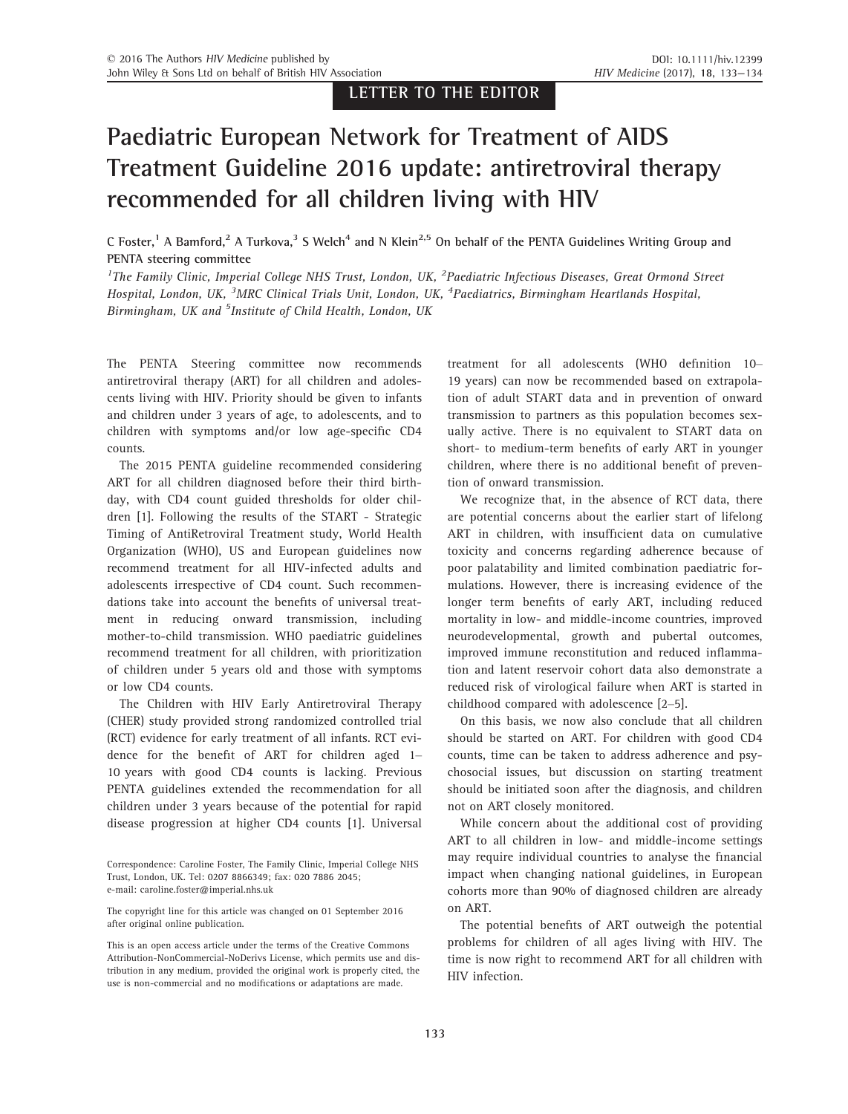LETTER TO THE EDITOR

## Paediatric European Network for Treatment of AIDS Treatment Guideline 2016 update: antiretroviral therapy recommended for all children living with HIV

C Foster,<sup>1</sup> A Bamford,<sup>2</sup> A Turkova,<sup>3</sup> S Welch<sup>4</sup> and N Klein<sup>2,5</sup> On behalf of the PENTA Guidelines Writing Group and PENTA steering committee

<sup>1</sup>The Family Clinic, Imperial College NHS Trust, London, UK, <sup>2</sup>Paediatric Infectious Diseases, Great Ormond Street Hospital, London, UK, <sup>3</sup>MRC Clinical Trials Unit, London, UK, <sup>4</sup>Paediatrics, Birmingham Heartlands Hospital, Birmingham, UK and <sup>5</sup>Institute of Child Health, London, UK

The PENTA Steering committee now recommends antiretroviral therapy (ART) for all children and adolescents living with HIV. Priority should be given to infants and children under 3 years of age, to adolescents, and to children with symptoms and/or low age-specific CD4 counts.

The 2015 PENTA guideline recommended considering ART for all children diagnosed before their third birthday, with CD4 count guided thresholds for older children [1]. Following the results of the START - Strategic Timing of AntiRetroviral Treatment study, World Health Organization (WHO), US and European guidelines now recommend treatment for all HIV-infected adults and adolescents irrespective of CD4 count. Such recommendations take into account the benefits of universal treatment in reducing onward transmission, including mother-to-child transmission. WHO paediatric guidelines recommend treatment for all children, with prioritization of children under 5 years old and those with symptoms or low CD4 counts.

The Children with HIV Early Antiretroviral Therapy (CHER) study provided strong randomized controlled trial (RCT) evidence for early treatment of all infants. RCT evidence for the benefit of ART for children aged 1– 10 years with good CD4 counts is lacking. Previous PENTA guidelines extended the recommendation for all children under 3 years because of the potential for rapid disease progression at higher CD4 counts [1]. Universal

treatment for all adolescents (WHO definition 10– 19 years) can now be recommended based on extrapolation of adult START data and in prevention of onward transmission to partners as this population becomes sexually active. There is no equivalent to START data on short- to medium-term benefits of early ART in younger children, where there is no additional benefit of prevention of onward transmission.

We recognize that, in the absence of RCT data, there are potential concerns about the earlier start of lifelong ART in children, with insufficient data on cumulative toxicity and concerns regarding adherence because of poor palatability and limited combination paediatric formulations. However, there is increasing evidence of the longer term benefits of early ART, including reduced mortality in low- and middle-income countries, improved neurodevelopmental, growth and pubertal outcomes, improved immune reconstitution and reduced inflammation and latent reservoir cohort data also demonstrate a reduced risk of virological failure when ART is started in childhood compared with adolescence [2–5].

On this basis, we now also conclude that all children should be started on ART. For children with good CD4 counts, time can be taken to address adherence and psychosocial issues, but discussion on starting treatment should be initiated soon after the diagnosis, and children not on ART closely monitored.

While concern about the additional cost of providing ART to all children in low- and middle-income settings may require individual countries to analyse the financial impact when changing national guidelines, in European cohorts more than 90% of diagnosed children are already on ART.

The potential benefits of ART outweigh the potential problems for children of all ages living with HIV. The time is now right to recommend ART for all children with HIV infection.

Correspondence: Caroline Foster, The Family Clinic, Imperial College NHS Trust, London, UK. Tel: 0207 8866349; fax: 020 7886 2045; e-mail: caroline.foster@imperial.nhs.uk

The copyright line for this article was changed on 01 September 2016 after original online publication.

This is an open access article under the terms of the [Creative Commons](http://creativecommons.org/licenses/by-nc-nd/4.0/) [Attribution-NonCommercial-NoDerivs](http://creativecommons.org/licenses/by-nc-nd/4.0/) License, which permits use and distribution in any medium, provided the original work is properly cited, the use is non-commercial and no modifications or adaptations are made.